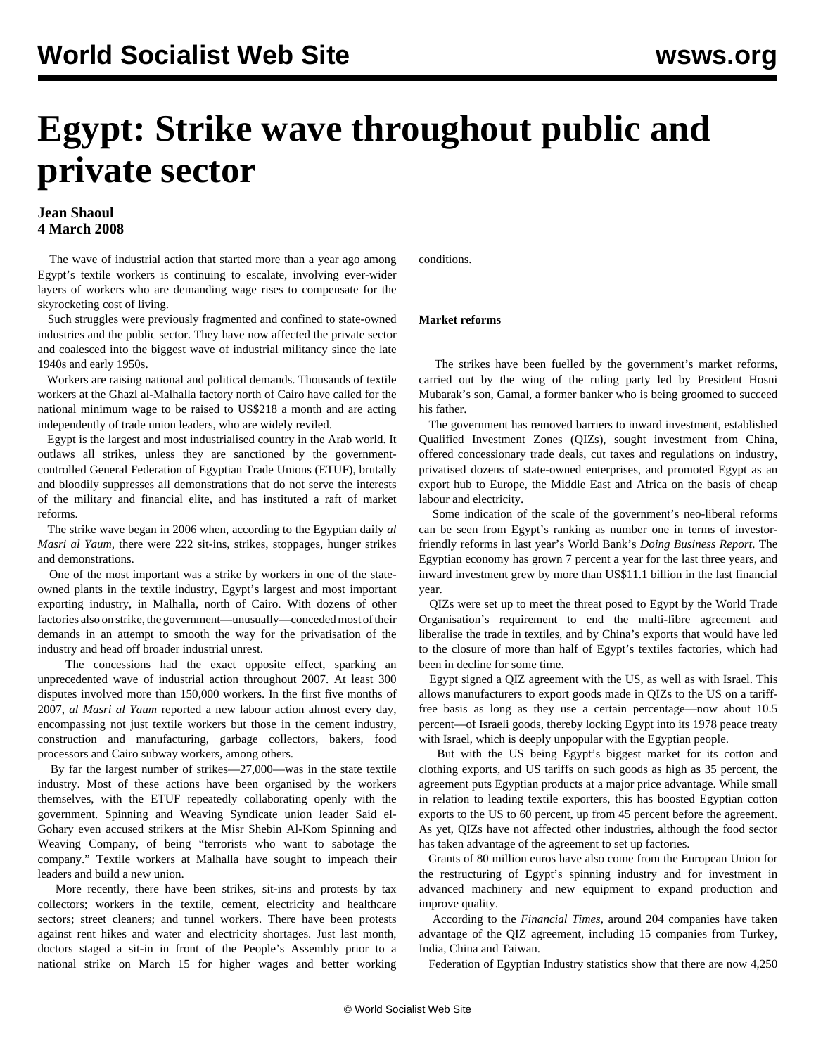# **Egypt: Strike wave throughout public and private sector**

### **Jean Shaoul 4 March 2008**

 The wave of industrial action that started more than a year ago among Egypt's textile workers is continuing to escalate, involving ever-wider layers of workers who are demanding wage rises to compensate for the skyrocketing cost of living.

 Such struggles were previously fragmented and confined to state-owned industries and the public sector. They have now affected the private sector and coalesced into the biggest wave of industrial militancy since the late 1940s and early 1950s.

 Workers are raising national and political demands. Thousands of textile workers at the Ghazl al-Malhalla factory north of Cairo have called for the national minimum wage to be raised to US\$218 a month and are acting independently of trade union leaders, who are widely reviled.

 Egypt is the largest and most industrialised country in the Arab world. It outlaws all strikes, unless they are sanctioned by the governmentcontrolled General Federation of Egyptian Trade Unions (ETUF), brutally and bloodily suppresses all demonstrations that do not serve the interests of the military and financial elite, and has instituted a raft of market reforms.

 The strike wave began in 2006 when, according to the Egyptian daily *al Masri al Yaum,* there were 222 sit-ins, strikes, stoppages, hunger strikes and demonstrations.

 One of the most important was a strike by workers in one of the stateowned plants in the textile industry, Egypt's largest and most important exporting industry, in Malhalla, north of Cairo. With dozens of other factories also on strike, the government—unusually—conceded most of their demands in an attempt to smooth the way for the privatisation of the industry and head off broader industrial unrest.

 The concessions had the exact opposite effect, sparking an unprecedented wave of industrial action throughout 2007. At least 300 disputes involved more than 150,000 workers. In the first five months of 2007, *al Masri al Yaum* reported a new labour action almost every day, encompassing not just textile workers but those in the cement industry, construction and manufacturing, garbage collectors, bakers, food processors and Cairo subway workers, among others.

 By far the largest number of strikes—27,000—was in the state textile industry. Most of these actions have been organised by the workers themselves, with the ETUF repeatedly collaborating openly with the government. Spinning and Weaving Syndicate union leader Said el-Gohary even accused strikers at the Misr Shebin Al-Kom Spinning and Weaving Company, of being "terrorists who want to sabotage the company." Textile workers at Malhalla have sought to impeach their leaders and build a new union.

 More recently, there have been strikes, sit-ins and protests by tax collectors; workers in the textile, cement, electricity and healthcare sectors; street cleaners; and tunnel workers. There have been protests against rent hikes and water and electricity shortages. Just last month, doctors staged a sit-in in front of the People's Assembly prior to a national strike on March 15 for higher wages and better working conditions.

#### **Market reforms**

 The strikes have been fuelled by the government's market reforms, carried out by the wing of the ruling party led by President Hosni Mubarak's son, Gamal, a former banker who is being groomed to succeed his father.

 The government has removed barriers to inward investment, established Qualified Investment Zones (QIZs), sought investment from China, offered concessionary trade deals, cut taxes and regulations on industry, privatised dozens of state-owned enterprises, and promoted Egypt as an export hub to Europe, the Middle East and Africa on the basis of cheap labour and electricity.

 Some indication of the scale of the government's neo-liberal reforms can be seen from Egypt's ranking as number one in terms of investorfriendly reforms in last year's World Bank's *Doing Business Report*. The Egyptian economy has grown 7 percent a year for the last three years, and inward investment grew by more than US\$11.1 billion in the last financial year.

 QIZs were set up to meet the threat posed to Egypt by the World Trade Organisation's requirement to end the multi-fibre agreement and liberalise the trade in textiles, and by China's exports that would have led to the closure of more than half of Egypt's textiles factories, which had been in decline for some time.

 Egypt signed a QIZ agreement with the US, as well as with Israel. This allows manufacturers to export goods made in QIZs to the US on a tarifffree basis as long as they use a certain percentage—now about 10.5 percent—of Israeli goods, thereby locking Egypt into its 1978 peace treaty with Israel, which is deeply unpopular with the Egyptian people.

 But with the US being Egypt's biggest market for its cotton and clothing exports, and US tariffs on such goods as high as 35 percent, the agreement puts Egyptian products at a major price advantage. While small in relation to leading textile exporters, this has boosted Egyptian cotton exports to the US to 60 percent, up from 45 percent before the agreement. As yet, QIZs have not affected other industries, although the food sector has taken advantage of the agreement to set up factories.

 Grants of 80 million euros have also come from the European Union for the restructuring of Egypt's spinning industry and for investment in advanced machinery and new equipment to expand production and improve quality.

 According to the *Financial Times*, around 204 companies have taken advantage of the QIZ agreement, including 15 companies from Turkey, India, China and Taiwan.

Federation of Egyptian Industry statistics show that there are now 4,250